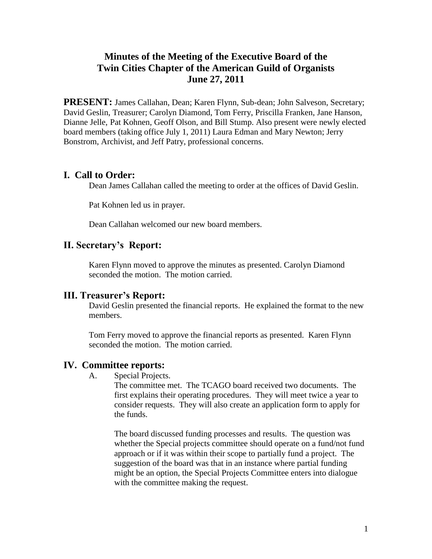# **Minutes of the Meeting of the Executive Board of the Twin Cities Chapter of the American Guild of Organists June 27, 2011**

**PRESENT:** James Callahan, Dean; Karen Flynn, Sub-dean; John Salveson, Secretary; David Geslin, Treasurer; Carolyn Diamond, Tom Ferry, Priscilla Franken, Jane Hanson, Dianne Jelle, Pat Kohnen, Geoff Olson, and Bill Stump. Also present were newly elected board members (taking office July 1, 2011) Laura Edman and Mary Newton; Jerry Bonstrom, Archivist, and Jeff Patry, professional concerns.

### **I. Call to Order:**

Dean James Callahan called the meeting to order at the offices of David Geslin.

Pat Kohnen led us in prayer*.*

Dean Callahan welcomed our new board members.

### **II. Secretary's Report:**

Karen Flynn moved to approve the minutes as presented. Carolyn Diamond seconded the motion. The motion carried.

#### **III. Treasurer's Report:**

David Geslin presented the financial reports. He explained the format to the new members.

Tom Ferry moved to approve the financial reports as presented. Karen Flynn seconded the motion. The motion carried.

#### **IV. Committee reports:**

A. Special Projects.

The committee met. The TCAGO board received two documents. The first explains their operating procedures. They will meet twice a year to consider requests. They will also create an application form to apply for the funds.

The board discussed funding processes and results. The question was whether the Special projects committee should operate on a fund/not fund approach or if it was within their scope to partially fund a project. The suggestion of the board was that in an instance where partial funding might be an option, the Special Projects Committee enters into dialogue with the committee making the request.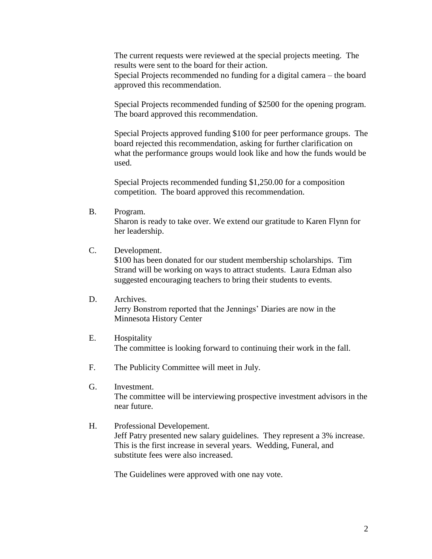The current requests were reviewed at the special projects meeting. The results were sent to the board for their action.

Special Projects recommended no funding for a digital camera – the board approved this recommendation.

Special Projects recommended funding of \$2500 for the opening program. The board approved this recommendation.

Special Projects approved funding \$100 for peer performance groups. The board rejected this recommendation, asking for further clarification on what the performance groups would look like and how the funds would be used.

Special Projects recommended funding \$1,250.00 for a composition competition. The board approved this recommendation.

B. Program.

Sharon is ready to take over. We extend our gratitude to Karen Flynn for her leadership.

#### C. Development.

\$100 has been donated for our student membership scholarships. Tim Strand will be working on ways to attract students. Laura Edman also suggested encouraging teachers to bring their students to events.

- D. Archives. Jerry Bonstrom reported that the Jennings' Diaries are now in the Minnesota History Center
- E. Hospitality The committee is looking forward to continuing their work in the fall.
- F. The Publicity Committee will meet in July.
- G. Investment. The committee will be interviewing prospective investment advisors in the near future.
- H. Professional Developement. Jeff Patry presented new salary guidelines. They represent a 3% increase. This is the first increase in several years. Wedding, Funeral, and substitute fees were also increased.

The Guidelines were approved with one nay vote.